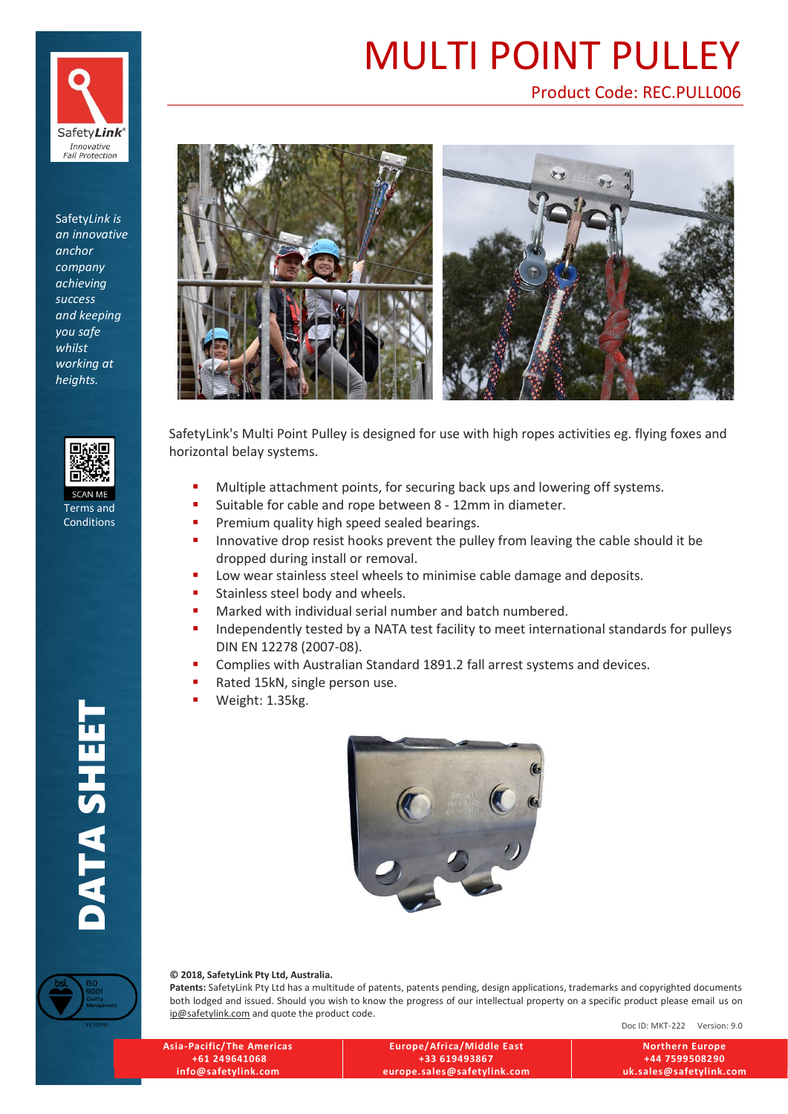

Safety*Link is an innovative anchor company achieving success and keeping you safe whilst working at heights.*



Terms and Conditions

**DATA SHEET** 

# [MULTI POINT PULLEY](http://safetylink.com/pages-anchors/multi-point-pulley.html)

## [Product Code: REC.PULL006](http://safetylink.com/pages-anchors/multi-point-pulley.html)



SafetyLink's Multi Point Pulley is designed for use with high ropes activities eg. flying foxes and horizontal belay systems.

- Multiple attachment points, for securing back ups and lowering off systems.
- Suitable for cable and rope between 8 12mm in diameter.
- **•** Premium quality high speed sealed bearings.
- **.** Innovative drop resist hooks prevent the pulley from leaving the cable should it be dropped during install or removal.
- Low wear stainless steel wheels to minimise cable damage and deposits.
- Stainless steel body and wheels.
- Marked with individual serial number and batch numbered.
- **■** Independently tested by a NATA test facility to meet international standards for pulleys DIN EN 12278 (2007-08).
- Complies with Australian Standard 1891.2 fall arrest systems and devices.
- Rated 15kN, single person use.
- Weight: 1.35kg.



**© 2018, SafetyLink Pty Ltd, Australia.**

**Patents:** SafetyLink Pty Ltd has a multitude of patents, patents pending, design applications, trademarks and copyrighted documents both lodged and issued. Should you wish to know the progress of our intellectual property on a specific product please email us on [ip@safetylink.com](mailto:ip@safetylink.com) and quote the product code.

Doc ID: MKT-222 Version: 9.0

| <b>Asia-Pacific/The Americas</b> | Europe/Africa/Middle East   | <b>Northern Europe</b>  |
|----------------------------------|-----------------------------|-------------------------|
| +61 249641068                    | +33 619493867               | +44 7599508290          |
| info@safetylink.com              | europe.sales@safetylink.com | uk.sales@safetylink.com |